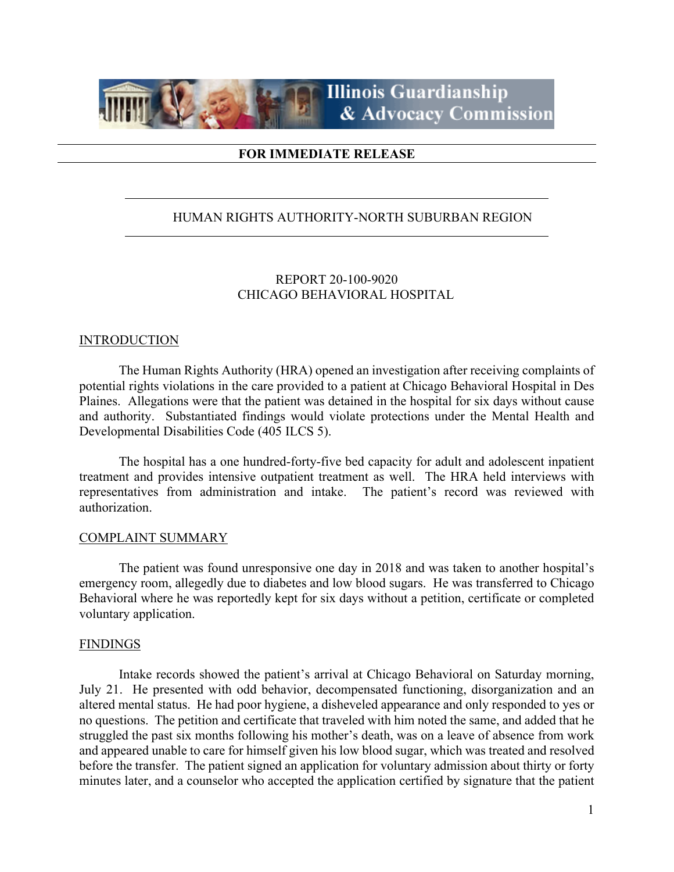

## **FOR IMMEDIATE RELEASE**

## HUMAN RIGHTS AUTHORITY-NORTH SUBURBAN REGION

# REPORT 20-100-9020 CHICAGO BEHAVIORAL HOSPITAL

### **INTRODUCTION**

The Human Rights Authority (HRA) opened an investigation after receiving complaints of potential rights violations in the care provided to a patient at Chicago Behavioral Hospital in Des Plaines. Allegations were that the patient was detained in the hospital for six days without cause and authority. Substantiated findings would violate protections under the Mental Health and Developmental Disabilities Code (405 ILCS 5).

The hospital has a one hundred-forty-five bed capacity for adult and adolescent inpatient treatment and provides intensive outpatient treatment as well. The HRA held interviews with representatives from administration and intake. The patient's record was reviewed with authorization.

#### COMPLAINT SUMMARY

The patient was found unresponsive one day in 2018 and was taken to another hospital's emergency room, allegedly due to diabetes and low blood sugars. He was transferred to Chicago Behavioral where he was reportedly kept for six days without a petition, certificate or completed voluntary application.

#### FINDINGS

Intake records showed the patient's arrival at Chicago Behavioral on Saturday morning, July 21. He presented with odd behavior, decompensated functioning, disorganization and an altered mental status. He had poor hygiene, a disheveled appearance and only responded to yes or no questions. The petition and certificate that traveled with him noted the same, and added that he struggled the past six months following his mother's death, was on a leave of absence from work and appeared unable to care for himself given his low blood sugar, which was treated and resolved before the transfer. The patient signed an application for voluntary admission about thirty or forty minutes later, and a counselor who accepted the application certified by signature that the patient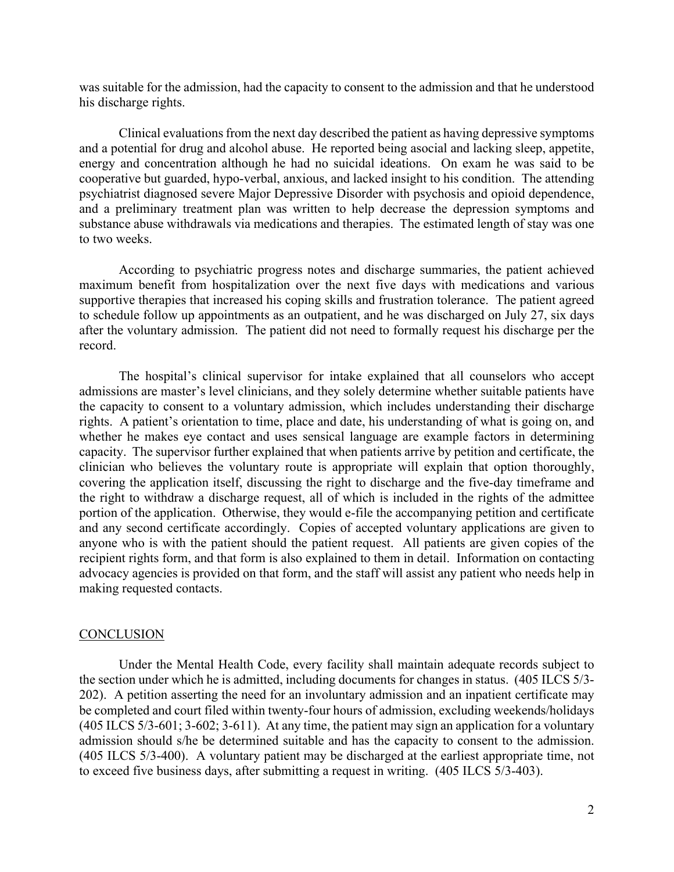was suitable for the admission, had the capacity to consent to the admission and that he understood his discharge rights.

Clinical evaluations from the next day described the patient as having depressive symptoms and a potential for drug and alcohol abuse. He reported being asocial and lacking sleep, appetite, energy and concentration although he had no suicidal ideations. On exam he was said to be cooperative but guarded, hypo-verbal, anxious, and lacked insight to his condition. The attending psychiatrist diagnosed severe Major Depressive Disorder with psychosis and opioid dependence, and a preliminary treatment plan was written to help decrease the depression symptoms and substance abuse withdrawals via medications and therapies. The estimated length of stay was one to two weeks.

According to psychiatric progress notes and discharge summaries, the patient achieved maximum benefit from hospitalization over the next five days with medications and various supportive therapies that increased his coping skills and frustration tolerance. The patient agreed to schedule follow up appointments as an outpatient, and he was discharged on July 27, six days after the voluntary admission. The patient did not need to formally request his discharge per the record.

The hospital's clinical supervisor for intake explained that all counselors who accept admissions are master's level clinicians, and they solely determine whether suitable patients have the capacity to consent to a voluntary admission, which includes understanding their discharge rights. A patient's orientation to time, place and date, his understanding of what is going on, and whether he makes eye contact and uses sensical language are example factors in determining capacity. The supervisor further explained that when patients arrive by petition and certificate, the clinician who believes the voluntary route is appropriate will explain that option thoroughly, covering the application itself, discussing the right to discharge and the five-day timeframe and the right to withdraw a discharge request, all of which is included in the rights of the admittee portion of the application. Otherwise, they would e-file the accompanying petition and certificate and any second certificate accordingly. Copies of accepted voluntary applications are given to anyone who is with the patient should the patient request. All patients are given copies of the recipient rights form, and that form is also explained to them in detail. Information on contacting advocacy agencies is provided on that form, and the staff will assist any patient who needs help in making requested contacts.

#### **CONCLUSION**

Under the Mental Health Code, every facility shall maintain adequate records subject to the section under which he is admitted, including documents for changes in status. (405 ILCS 5/3- 202). A petition asserting the need for an involuntary admission and an inpatient certificate may be completed and court filed within twenty-four hours of admission, excluding weekends/holidays (405 ILCS 5/3-601; 3-602; 3-611). At any time, the patient may sign an application for a voluntary admission should s/he be determined suitable and has the capacity to consent to the admission. (405 ILCS 5/3-400). A voluntary patient may be discharged at the earliest appropriate time, not to exceed five business days, after submitting a request in writing. (405 ILCS 5/3-403).